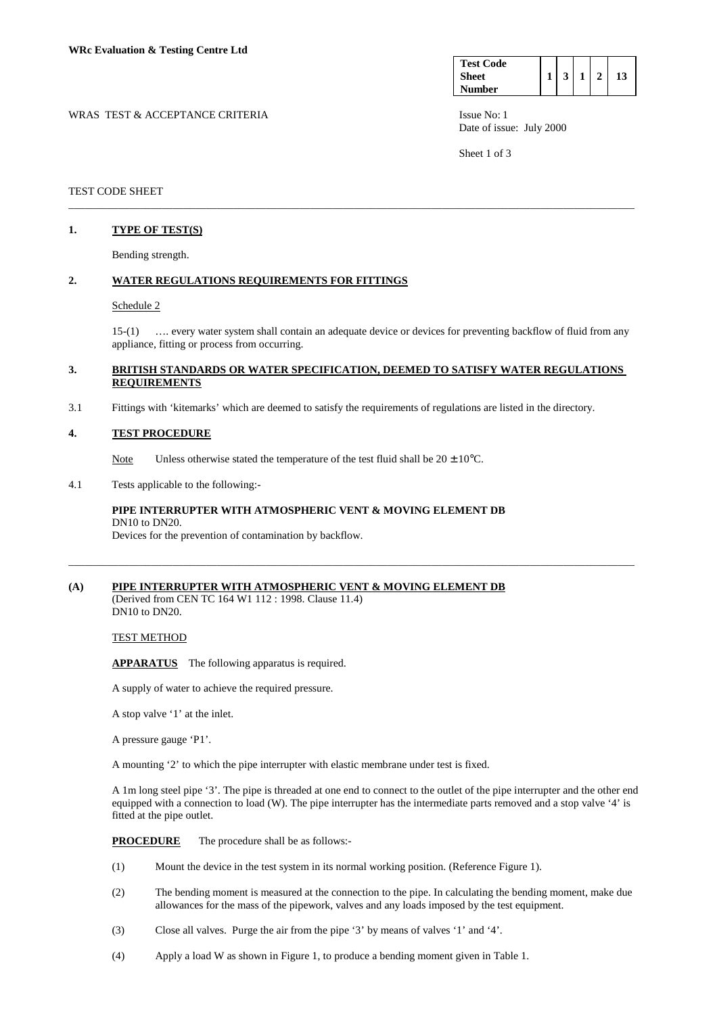| <b>Test Code</b> |  |  |  |
|------------------|--|--|--|
| <b>Sheet</b>     |  |  |  |
| <b>Number</b>    |  |  |  |

WRAS TEST & ACCEPTANCE CRITERIA ISSUE No: 1 Date of issue: July 2000

Sheet 1 of 3

### TEST CODE SHEET

## **1. TYPE OF TEST(S)**

Bending strength.

#### **2. WATER REGULATIONS REQUIREMENTS FOR FITTINGS**

#### Schedule 2

 15-(1) …. every water system shall contain an adequate device or devices for preventing backflow of fluid from any appliance, fitting or process from occurring.

#### **3. BRITISH STANDARDS OR WATER SPECIFICATION, DEEMED TO SATISFY WATER REGULATIONS REQUIREMENTS**

\_\_\_\_\_\_\_\_\_\_\_\_\_\_\_\_\_\_\_\_\_\_\_\_\_\_\_\_\_\_\_\_\_\_\_\_\_\_\_\_\_\_\_\_\_\_\_\_\_\_\_\_\_\_\_\_\_\_\_\_\_\_\_\_\_\_\_\_\_\_\_\_\_\_\_\_\_\_\_\_\_\_\_\_\_\_\_\_\_\_\_\_\_\_\_\_\_\_\_\_\_\_\_

\_\_\_\_\_\_\_\_\_\_\_\_\_\_\_\_\_\_\_\_\_\_\_\_\_\_\_\_\_\_\_\_\_\_\_\_\_\_\_\_\_\_\_\_\_\_\_\_\_\_\_\_\_\_\_\_\_\_\_\_\_\_\_\_\_\_\_\_\_\_\_\_\_\_\_\_\_\_\_\_\_\_\_\_\_\_\_\_\_\_\_\_\_\_\_\_\_\_\_\_\_\_\_

3.1 Fittings with 'kitemarks' which are deemed to satisfy the requirements of regulations are listed in the directory.

#### **4. TEST PROCEDURE**

Note Unless otherwise stated the temperature of the test fluid shall be  $20 \pm 10^{\circ}$ C.

## 4.1 Tests applicable to the following:-

## **PIPE INTERRUPTER WITH ATMOSPHERIC VENT & MOVING ELEMENT DB**  DN10 to DN20.

Devices for the prevention of contamination by backflow.

# **(A) PIPE INTERRUPTER WITH ATMOSPHERIC VENT & MOVING ELEMENT DB**

(Derived from CEN TC 164 W1 112 : 1998. Clause 11.4) DN10 to DN20.

### TEST METHOD

**APPARATUS** The following apparatus is required.

A supply of water to achieve the required pressure.

A stop valve '1' at the inlet.

A pressure gauge 'P1'.

A mounting '2' to which the pipe interrupter with elastic membrane under test is fixed.

 A 1m long steel pipe '3'. The pipe is threaded at one end to connect to the outlet of the pipe interrupter and the other end equipped with a connection to load (W). The pipe interrupter has the intermediate parts removed and a stop valve '4' is fitted at the pipe outlet.

**PROCEDURE** The procedure shall be as follows:-

- (1) Mount the device in the test system in its normal working position. (Reference Figure 1).
- (2) The bending moment is measured at the connection to the pipe. In calculating the bending moment, make due allowances for the mass of the pipework, valves and any loads imposed by the test equipment.
- (3) Close all valves. Purge the air from the pipe '3' by means of valves '1' and '4'.
- (4) Apply a load W as shown in Figure 1, to produce a bending moment given in Table 1.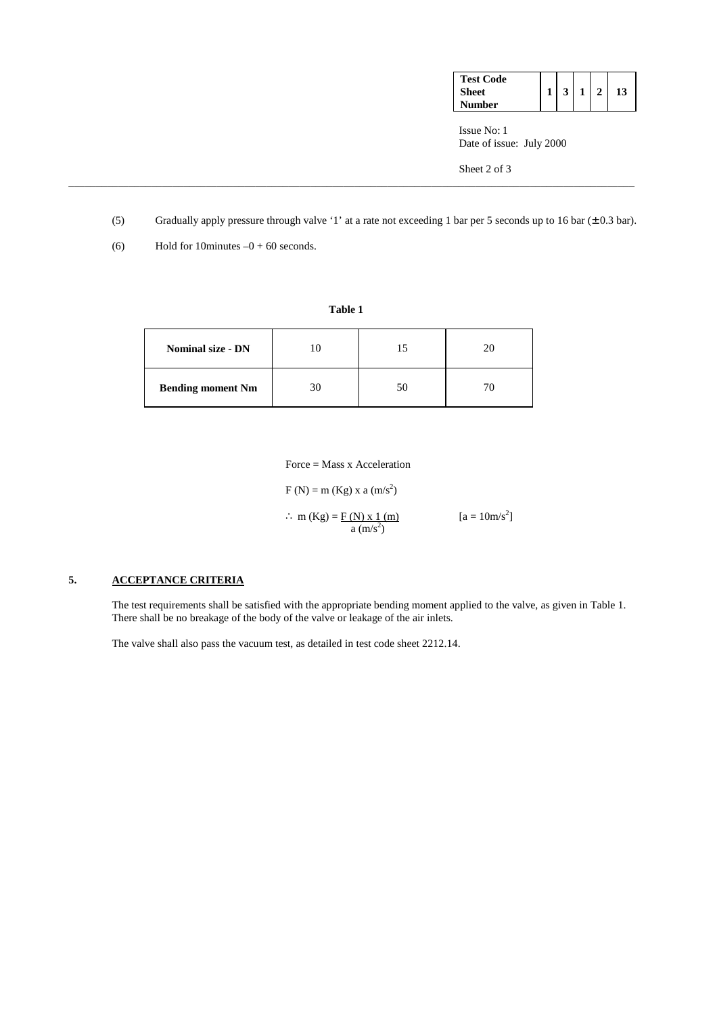| <b>Test Code</b> |  |  |    |
|------------------|--|--|----|
| <b>Sheet</b>     |  |  | 13 |
| Number           |  |  |    |

 Issue No: 1 Date of issue: July 2000

Sheet 2 of 3

(5) Gradually apply pressure through valve '1' at a rate not exceeding 1 bar per 5 seconds up to 16 bar (± 0.3 bar).

\_\_\_\_\_\_\_\_\_\_\_\_\_\_\_\_\_\_\_\_\_\_\_\_\_\_\_\_\_\_\_\_\_\_\_\_\_\_\_\_\_\_\_\_\_\_\_\_\_\_\_\_\_\_\_\_\_\_\_\_\_\_\_\_\_\_\_\_\_\_\_\_\_\_\_\_\_\_\_\_\_\_\_\_\_\_\_\_\_\_\_\_\_\_\_\_\_\_\_\_\_\_\_

(6) Hold for 10minutes  $-0 + 60$  seconds.

| <b>Nominal size - DN</b> |    | 20 |
|--------------------------|----|----|
| <b>Bending moment Nm</b> | 30 |    |

**Table 1**

Force = Mass x Acceleration

 $F(N) = m (Kg) x a (m/s<sup>2</sup>)$ 

∴ m (Kg) =  $\frac{F(N)x1(m)}{2}$  $[a = 10m/s^2]$  $a \left( m/s^2 \right)$ 

## **5. ACCEPTANCE CRITERIA**

 The test requirements shall be satisfied with the appropriate bending moment applied to the valve, as given in Table 1. There shall be no breakage of the body of the valve or leakage of the air inlets.

The valve shall also pass the vacuum test, as detailed in test code sheet 2212.14.